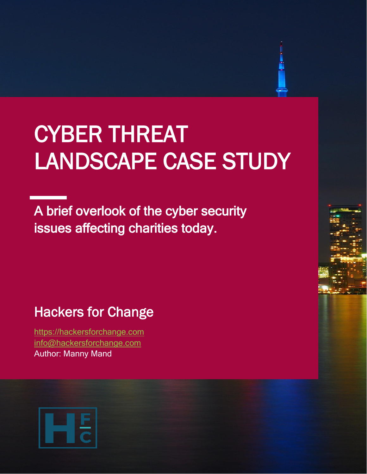# CYBER THREAT LANDSCAPE CASE STUDY

A brief overlook of the cyber security issues affecting charities today.

# Hackers for Change

[https://hackersforchange.com](https://hackersforchange.com/) [info@hackersforchange.com](mailto:info@hackersforchange.com) Author: Manny Mand

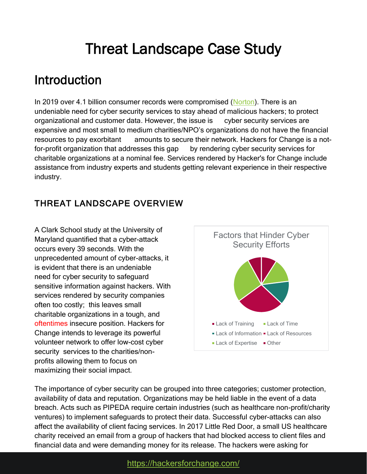# Threat Landscape Case Study

# Introduction

In 2019 over 4.1 billion consumer records were compromised [\(Norton\)](https://us.norton.com/internetsecurity-emerging-threats-2019-data-breaches.html). There is an undeniable need for cyber security services to stay ahead of malicious hackers; to protect organizational and customer data. However, the issue is cyber security services are expensive and most small to medium charities/NPO's organizations do not have the financial resources to pay exorbitant amounts to secure their network. Hackers for Change is a notfor-profit organization that addresses this gap by rendering cyber security services for charitable organizations at a nominal fee. Services rendered by Hacker's for Change include assistance from industry experts and students getting relevant experience in their respective industry.

### THREAT LANDSCAPE OVERVIEW

A Clark School study at the University of Maryland quantified that a cyber-attack occurs every 39 seconds. With the unprecedented amount of cyber-attacks, it is evident that there is an undeniable need for cyber security to safeguard sensitive information against hackers. With services rendered by security companies often too costly; this leaves small charitable organizations in a tough, and oftentimes insecure position. Hackers for Change intends to leverage its powerful volunteer network to offer low-cost cyber security services to the charities/nonprofits allowing them to focus on maximizing their social impact.



The importance of cyber security can be grouped into three categories; customer protection, availability of data and reputation. Organizations may be held liable in the event of a data breach. Acts such as PIPEDA require certain industries (such as healthcare non-profit/charity ventures) to implement safeguards to protect their data. Successful cyber-attacks can also affect the availability of client facing services. In 2017 Little Red Door, a small US healthcare charity received an email from a group of hackers that had blocked access to client files and financial data and were demanding money for its release. The hackers were asking for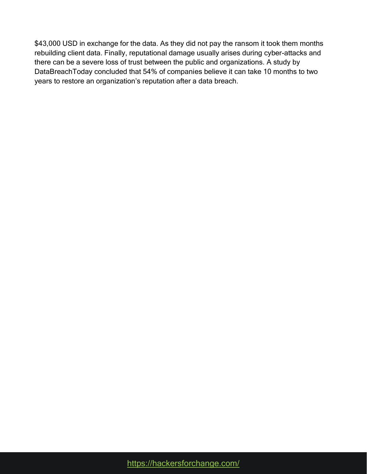\$43,000 USD in exchange for the data. As they did not pay the ransom it took them months rebuilding client data. Finally, reputational damage usually arises during cyber-attacks and there can be a severe loss of trust between the public and organizations. A study by DataBreachToday concluded that 54% of companies believe it can take 10 months to two years to restore an organization's reputation after a data breach.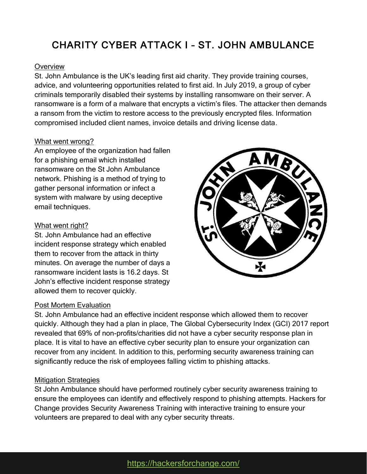## CHARITY CYBER ATTACK I – ST. JOHN AMBULANCE

#### **Overview**

St. John Ambulance is the UK's leading first aid charity. They provide training courses, advice, and volunteering opportunities related to first aid. In July 2019, a group of cyber criminals temporarily disabled their systems by installing ransomware on their server. A ransomware is a form of a malware that encrypts a victim's files. The attacker then demands a ransom from the victim to restore access to the previously encrypted files. Information compromised included client names, invoice details and driving license data.

#### What went wrong?

An employee of the organization had fallen for a phishing email which installed ransomware on the St John Ambulance network. Phishing is a method of trying to gather personal information or infect a system with malware by using deceptive email techniques.

#### What went right?

St. John Ambulance had an effective incident response strategy which enabled them to recover from the attack in thirty minutes. On average the number of days a ransomware incident lasts is 16.2 days. St John's effective incident response strategy allowed them to recover quickly.

#### Post Mortem Evaluation

St. John Ambulance had an effective incident response which allowed them to recover quickly. Although they had a plan in place, The Global Cybersecurity Index (GCI) 2017 report revealed that 69% of non-profits/charities did not have a cyber security response plan in place. It is vital to have an effective cyber security plan to ensure your organization can recover from any incident. In addition to this, performing security awareness training can significantly reduce the risk of employees falling victim to phishing attacks.

#### Mitigation Strategies

St John Ambulance should have performed routinely cyber security awareness training to ensure the employees can identify and effectively respond to phishing attempts. Hackers for Change provides Security Awareness Training with interactive training to ensure your volunteers are prepared to deal with any cyber security threats.

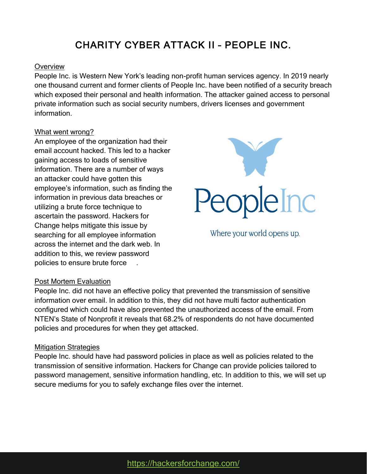## CHARITY CYBER ATTACK II – PEOPLE INC.

#### **Overview**

People Inc. is Western New York's leading non-profit human services agency. In 2019 nearly one thousand current and former clients of People Inc. have been notified of a security breach which exposed their personal and health information. The attacker gained access to personal private information such as social security numbers, drivers licenses and government information.

#### What went wrong?

An employee of the organization had their email account hacked. This led to a hacker gaining access to loads of sensitive information. There are a number of ways an attacker could have gotten this employee's information, such as finding the information in previous data breaches or utilizing a brute force technique to ascertain the password. Hackers for Change helps mitigate this issue by searching for all employee information across the internet and the dark web. In addition to this, we review password policies to ensure brute force



Where your world opens up.

#### Post Mortem Evaluation

People Inc. did not have an effective policy that prevented the transmission of sensitive information over email. In addition to this, they did not have multi factor authentication configured which could have also prevented the unauthorized access of the email. From NTEN's State of Nonprofit it reveals that 68.2% of respondents do not have documented policies and procedures for when they get attacked.

#### Mitigation Strategies

People Inc. should have had password policies in place as well as policies related to the transmission of sensitive information. Hackers for Change can provide policies tailored to password management, sensitive information handling, etc. In addition to this, we will set up secure mediums for you to safely exchange files over the internet.